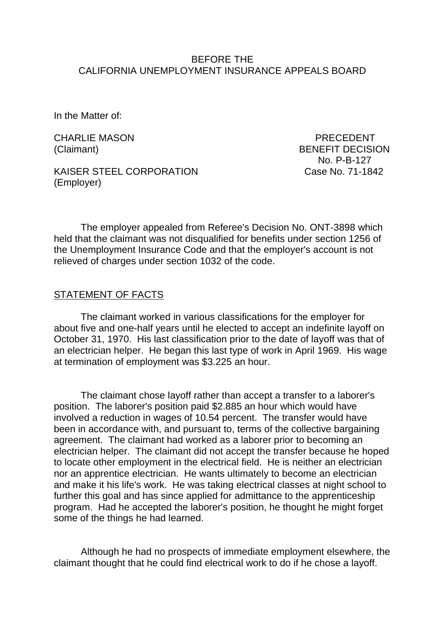#### BEFORE THE CALIFORNIA UNEMPLOYMENT INSURANCE APPEALS BOARD

In the Matter of:

CHARLIE MASON PRECEDENT

KAISER STEEL CORPORATION Case No. 71-1842 (Employer)

(Claimant) BENEFIT DECISION No. P-B-127

The employer appealed from Referee's Decision No. ONT-3898 which held that the claimant was not disqualified for benefits under section 1256 of the Unemployment Insurance Code and that the employer's account is not relieved of charges under section 1032 of the code.

#### STATEMENT OF FACTS

The claimant worked in various classifications for the employer for about five and one-half years until he elected to accept an indefinite layoff on October 31, 1970. His last classification prior to the date of layoff was that of an electrician helper. He began this last type of work in April 1969. His wage at termination of employment was \$3.225 an hour.

The claimant chose layoff rather than accept a transfer to a laborer's position. The laborer's position paid \$2.885 an hour which would have involved a reduction in wages of 10.54 percent. The transfer would have been in accordance with, and pursuant to, terms of the collective bargaining agreement. The claimant had worked as a laborer prior to becoming an electrician helper. The claimant did not accept the transfer because he hoped to locate other employment in the electrical field. He is neither an electrician nor an apprentice electrician. He wants ultimately to become an electrician and make it his life's work. He was taking electrical classes at night school to further this goal and has since applied for admittance to the apprenticeship program. Had he accepted the laborer's position, he thought he might forget some of the things he had learned.

Although he had no prospects of immediate employment elsewhere, the claimant thought that he could find electrical work to do if he chose a layoff.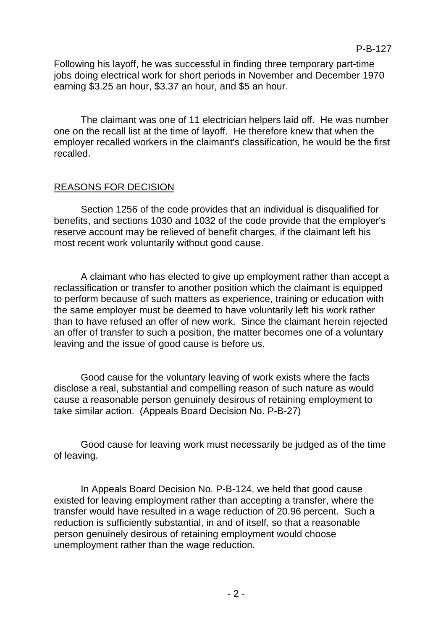Following his layoff, he was successful in finding three temporary part-time jobs doing electrical work for short periods in November and December 1970 earning \$3.25 an hour, \$3.37 an hour, and \$5 an hour.

The claimant was one of 11 electrician helpers laid off. He was number one on the recall list at the time of layoff. He therefore knew that when the employer recalled workers in the claimant's classification, he would be the first recalled.

### REASONS FOR DECISION

Section 1256 of the code provides that an individual is disqualified for benefits, and sections 1030 and 1032 of the code provide that the employer's reserve account may be relieved of benefit charges, if the claimant left his most recent work voluntarily without good cause.

A claimant who has elected to give up employment rather than accept a reclassification or transfer to another position which the claimant is equipped to perform because of such matters as experience, training or education with the same employer must be deemed to have voluntarily left his work rather than to have refused an offer of new work. Since the claimant herein rejected an offer of transfer to such a position, the matter becomes one of a voluntary leaving and the issue of good cause is before us.

Good cause for the voluntary leaving of work exists where the facts disclose a real, substantial and compelling reason of such nature as would cause a reasonable person genuinely desirous of retaining employment to take similar action. (Appeals Board Decision No. P-B-27)

Good cause for leaving work must necessarily be judged as of the time of leaving.

In Appeals Board Decision No. P-B-124, we held that good cause existed for leaving employment rather than accepting a transfer, where the transfer would have resulted in a wage reduction of 20.96 percent. Such a reduction is sufficiently substantial, in and of itself, so that a reasonable person genuinely desirous of retaining employment would choose unemployment rather than the wage reduction.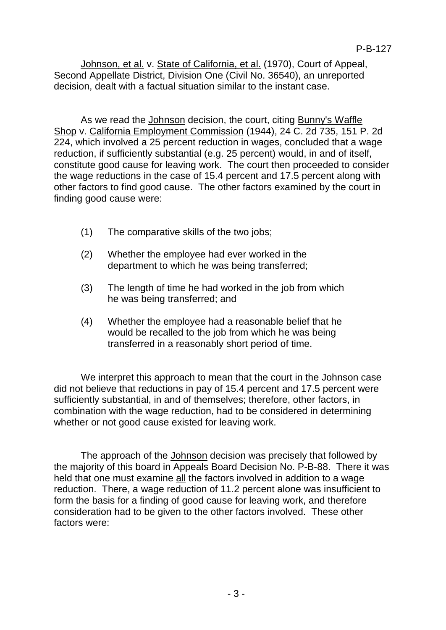Johnson, et al. v. State of California, et al. (1970), Court of Appeal, Second Appellate District, Division One (Civil No. 36540), an unreported decision, dealt with a factual situation similar to the instant case.

As we read the Johnson decision, the court, citing Bunny's Waffle Shop v. California Employment Commission (1944), 24 C. 2d 735, 151 P. 2d 224, which involved a 25 percent reduction in wages, concluded that a wage reduction, if sufficiently substantial (e.g. 25 percent) would, in and of itself, constitute good cause for leaving work. The court then proceeded to consider the wage reductions in the case of 15.4 percent and 17.5 percent along with other factors to find good cause. The other factors examined by the court in finding good cause were:

- (1) The comparative skills of the two jobs;
- (2) Whether the employee had ever worked in the department to which he was being transferred;
- (3) The length of time he had worked in the job from which he was being transferred; and
- (4) Whether the employee had a reasonable belief that he would be recalled to the job from which he was being transferred in a reasonably short period of time.

We interpret this approach to mean that the court in the Johnson case did not believe that reductions in pay of 15.4 percent and 17.5 percent were sufficiently substantial, in and of themselves; therefore, other factors, in combination with the wage reduction, had to be considered in determining whether or not good cause existed for leaving work.

The approach of the Johnson decision was precisely that followed by the majority of this board in Appeals Board Decision No. P-B-88. There it was held that one must examine all the factors involved in addition to a wage reduction. There, a wage reduction of 11.2 percent alone was insufficient to form the basis for a finding of good cause for leaving work, and therefore consideration had to be given to the other factors involved. These other factors were: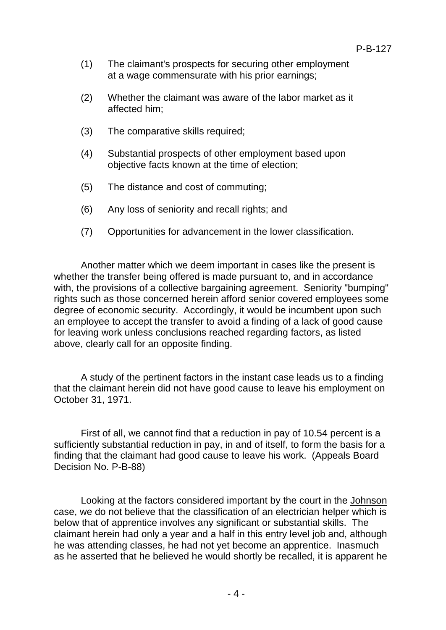- (1) The claimant's prospects for securing other employment at a wage commensurate with his prior earnings;
- (2) Whether the claimant was aware of the labor market as it affected him;
- (3) The comparative skills required;
- (4) Substantial prospects of other employment based upon objective facts known at the time of election;
- (5) The distance and cost of commuting;
- (6) Any loss of seniority and recall rights; and
- (7) Opportunities for advancement in the lower classification.

Another matter which we deem important in cases like the present is whether the transfer being offered is made pursuant to, and in accordance with, the provisions of a collective bargaining agreement. Seniority "bumping" rights such as those concerned herein afford senior covered employees some degree of economic security. Accordingly, it would be incumbent upon such an employee to accept the transfer to avoid a finding of a lack of good cause for leaving work unless conclusions reached regarding factors, as listed above, clearly call for an opposite finding.

A study of the pertinent factors in the instant case leads us to a finding that the claimant herein did not have good cause to leave his employment on October 31, 1971.

First of all, we cannot find that a reduction in pay of 10.54 percent is a sufficiently substantial reduction in pay, in and of itself, to form the basis for a finding that the claimant had good cause to leave his work. (Appeals Board Decision No. P-B-88)

Looking at the factors considered important by the court in the Johnson case, we do not believe that the classification of an electrician helper which is below that of apprentice involves any significant or substantial skills. The claimant herein had only a year and a half in this entry level job and, although he was attending classes, he had not yet become an apprentice. Inasmuch as he asserted that he believed he would shortly be recalled, it is apparent he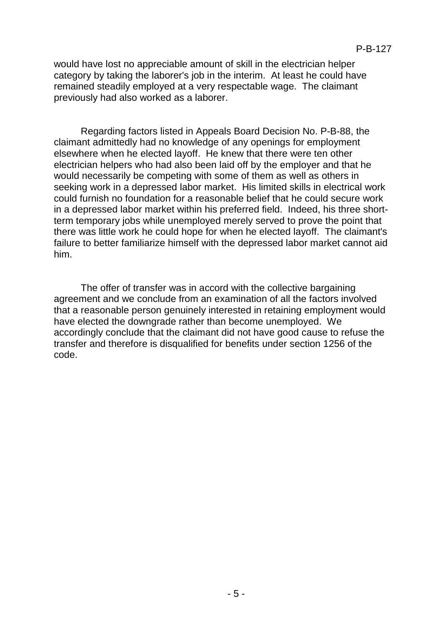would have lost no appreciable amount of skill in the electrician helper category by taking the laborer's job in the interim. At least he could have remained steadily employed at a very respectable wage. The claimant previously had also worked as a laborer.

Regarding factors listed in Appeals Board Decision No. P-B-88, the claimant admittedly had no knowledge of any openings for employment elsewhere when he elected layoff. He knew that there were ten other electrician helpers who had also been laid off by the employer and that he would necessarily be competing with some of them as well as others in seeking work in a depressed labor market. His limited skills in electrical work could furnish no foundation for a reasonable belief that he could secure work in a depressed labor market within his preferred field. Indeed, his three shortterm temporary jobs while unemployed merely served to prove the point that there was little work he could hope for when he elected layoff. The claimant's failure to better familiarize himself with the depressed labor market cannot aid him.

The offer of transfer was in accord with the collective bargaining agreement and we conclude from an examination of all the factors involved that a reasonable person genuinely interested in retaining employment would have elected the downgrade rather than become unemployed. We accordingly conclude that the claimant did not have good cause to refuse the transfer and therefore is disqualified for benefits under section 1256 of the code.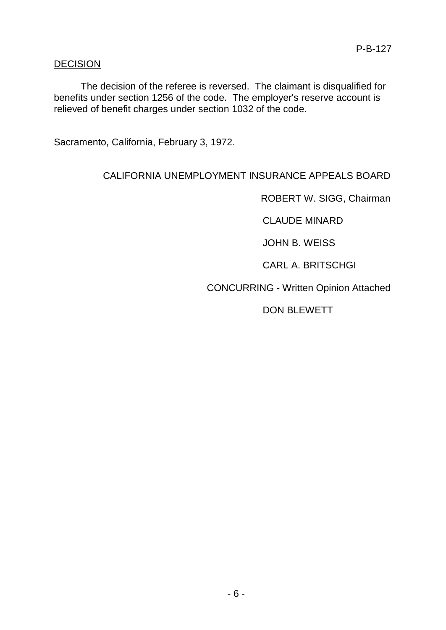### DECISION

The decision of the referee is reversed. The claimant is disqualified for benefits under section 1256 of the code. The employer's reserve account is relieved of benefit charges under section 1032 of the code.

Sacramento, California, February 3, 1972.

# CALIFORNIA UNEMPLOYMENT INSURANCE APPEALS BOARD

ROBERT W. SIGG, Chairman

CLAUDE MINARD

JOHN B. WEISS

CARL A. BRITSCHGI

CONCURRING - Written Opinion Attached

DON BLEWETT